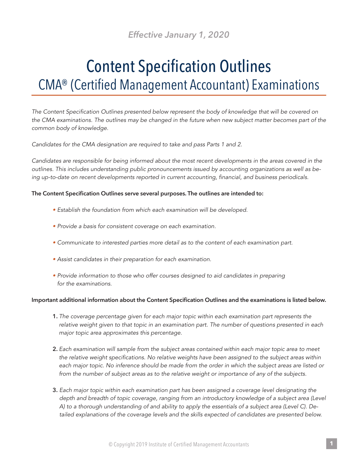## *Effective January 1, 2020*

# Content Specification Outlines CMA® (Certified Management Accountant) Examinations

*The Content Specification Outlines presented below represent the body of knowledge that will be covered on the CMA examinations. The outlines may be changed in the future when new subject matter becomes part of the common body of knowledge.*

*Candidates for the CMA designation are required to take and pass Parts 1 and 2.*

*Candidates are responsible for being informed about the most recent developments in the areas covered in the outlines. This includes understanding public pronouncements issued by accounting organizations as well as being up-to-date on recent developments reported in current accounting, financial, and business periodicals.*

#### **The Content Specification Outlines serve several purposes. The outlines are intended to:**

- *Establish the foundation from which each examination will be developed.*
- *Provide a basis for consistent coverage on each examination.*
- *• Communicate to interested parties more detail as to the content of each examination part.*
- *Assist candidates in their preparation for each examination.*
- *• Provide information to those who offer courses designed to aid candidates in preparing for the examinations.*

#### **Important additional information about the Content Specification Outlines and the examinations is listed below.**

- **1.** *The coverage percentage given for each major topic within each examination part represents the relative weight given to that topic in an examination part. The number of questions presented in each major topic area approximates this percentage.*
- **2.** *Each examination will sample from the subject areas contained within each major topic area to meet the relative weight specifications. No relative weights have been assigned to the subject areas within each major topic. No inference should be made from the order in which the subject areas are listed or from the number of subject areas as to the relative weight or importance of any of the subjects.*
- **3.** *Each major topic within each examination part has been assigned a coverage level designating the depth and breadth of topic coverage, ranging from an introductory knowledge of a subject area (Level A) to a thorough understanding of and ability to apply the essentials of a subject area (Level C). Detailed explanations of the coverage levels and the skills expected of candidates are presented below.*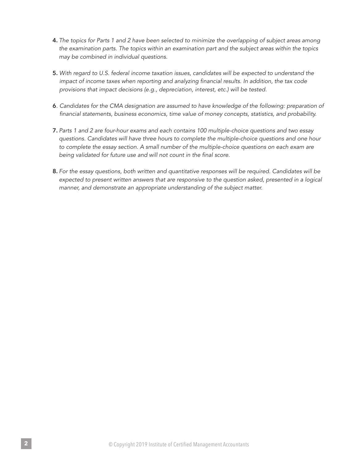- **4.** *The topics for Parts 1 and 2 have been selected to minimize the overlapping of subject areas among the examination parts. The topics within an examination part and the subject areas within the topics may be combined in individual questions.*
- **5.** *With regard to U.S. federal income taxation issues, candidates will be expected to understand the impact of income taxes when reporting and analyzing financial results. In addition, the tax code provisions that impact decisions (e.g., depreciation, interest, etc.) will be tested.*
- **6***. Candidates for the CMA designation are assumed to have knowledge of the following: preparation of financial statements, business economics, time value of money concepts, statistics, and probability.*
- **7.** *Parts 1 and 2 are four-hour exams and each contains 100 multiple-choice questions and two essay questions. Candidates will have three hours to complete the multiple-choice questions and one hour to complete the essay section. A small number of the multiple-choice questions on each exam are being validated for future use and will not count in the final score.*
- **8.** *For the essay questions, both written and quantitative responses will be required. Candidates will be expected to present written answers that are responsive to the question asked, presented in a logical manner, and demonstrate an appropriate understanding of the subject matter.*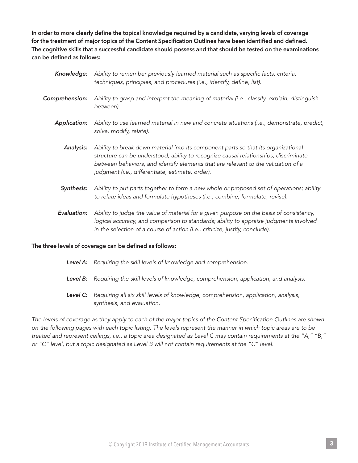**In order to more clearly define the topical knowledge required by a candidate, varying levels of coverage for the treatment of major topics of the Content Specification Outlines have been identified and defined. The cognitive skills that a successful candidate should possess and that should be tested on the examinations can be defined as follows:**

| Knowledge:          | Ability to remember previously learned material such as specific facts, criteria,<br>techniques, principles, and procedures (i.e., identify, define, list).                                                                                                                                                         |
|---------------------|---------------------------------------------------------------------------------------------------------------------------------------------------------------------------------------------------------------------------------------------------------------------------------------------------------------------|
| Comprehension:      | Ability to grasp and interpret the meaning of material (i.e., classify, explain, distinguish<br>between).                                                                                                                                                                                                           |
| <b>Application:</b> | Ability to use learned material in new and concrete situations (i.e., demonstrate, predict,<br>solve, modify, relate).                                                                                                                                                                                              |
| Analysis:           | Ability to break down material into its component parts so that its organizational<br>structure can be understood; ability to recognize causal relationships, discriminate<br>between behaviors, and identify elements that are relevant to the validation of a<br>judgment (i.e., differentiate, estimate, order). |
| Synthesis:          | Ability to put parts together to form a new whole or proposed set of operations; ability<br>to relate ideas and formulate hypotheses (i.e., combine, formulate, revise).                                                                                                                                            |
| Evaluation:         | Ability to judge the value of material for a given purpose on the basis of consistency,                                                                                                                                                                                                                             |

*logical accuracy, and comparison to standards; ability to appraise judgments involved in the selection of a course of action (i.e., criticize, justify, conclude).*

#### **The three levels of coverage can be defined as follows:**

- *Level A: Requiring the skill levels of knowledge and comprehension.*
- *Level B: Requiring the skill levels of knowledge, comprehension, application, and analysis.*
- *Level C: Requiring all six skill levels of knowledge, comprehension, application, analysis, synthesis, and evaluation.*

*The levels of coverage as they apply to each of the major topics of the Content Specification Outlines are shown on the following pages with each topic listing. The levels represent the manner in which topic areas are to be treated and represent ceilings, i.e., a topic area designated as Level C may contain requirements at the "A," "B," or "C" level, but a topic designated as Level B will not contain requirements at the "C" level.*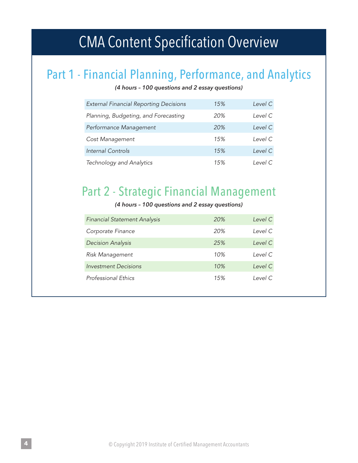# CMA Content Specification Overview

## Part 1 - Financial Planning, Performance, and Analytics

*(4 hours – 100 questions and 2 essay questions)*

| <b>External Financial Reporting Decisions</b> | 15% | Level C |
|-----------------------------------------------|-----|---------|
| Planning, Budgeting, and Forecasting          | 20% | Level C |
| Performance Management                        | 20% | Level C |
| Cost Management                               | 15% | Level C |
| <b>Internal Controls</b>                      | 15% | Level C |
| Technology and Analytics                      | 15% | Level C |

## Part 2 - Strategic Financial Management

#### *(4 hours – 100 questions and 2 essay questions)*

| <b>Financial Statement Analysis</b> | 20% | Level C |
|-------------------------------------|-----|---------|
| Corporate Finance                   | 20% | Level C |
| <b>Decision Analysis</b>            | 25% | Level C |
| <b>Risk Management</b>              | 10% | Level C |
| Investment Decisions                | 10% | Level C |
| <b>Professional Ethics</b>          | 15% | Level C |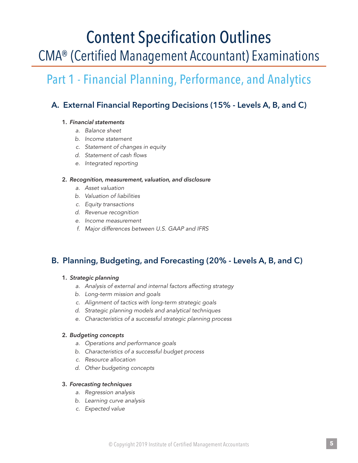# Content Specification Outlines CMA® (Certified Management Accountant) Examinations

## Part 1 - Financial Planning, Performance, and Analytics

## **A. External Financial Reporting Decisions (15% - Levels A, B, and C)**

#### **1.** *Financial statements*

- *a. Balance sheet*
- *b. Income statement*
- *c. Statement of changes in equity*
- *d. Statement of cash flows*
- *e. Integrated reporting*

#### **2.** *Recognition, measurement, valuation, and disclosure*

- *a. Asset valuation*
- *b. Valuation of liabilities*
- *c. Equity transactions*
- *d. Revenue recognition*
- *e. Income measurement*
- *f. Major differences between U.S. GAAP and IFRS*

## **B. Planning, Budgeting, and Forecasting (20% - Levels A, B, and C)**

#### **1.** *Strategic planning*

- *a. Analysis of external and internal factors affecting strategy*
- *b. Long-term mission and goals*
- *c. Alignment of tactics with long-term strategic goals*
- *d. Strategic planning models and analytical techniques*
- *e. Characteristics of a successful strategic planning process*

#### **2.** *Budgeting concepts*

- *a. Operations and performance goals*
- *b. Characteristics of a successful budget process*
- *c. Resource allocation*
- *d. Other budgeting concepts*

#### **3.** *Forecasting techniques*

- *a. Regression analysis*
- *b. Learning curve analysis*
- *c. Expected value*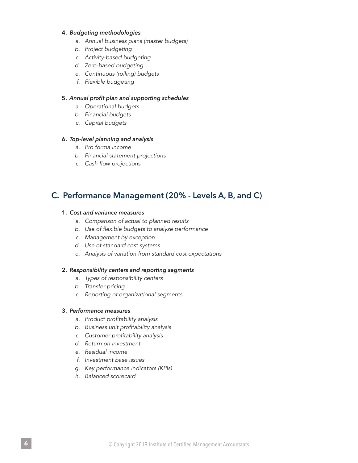#### **4.** *Budgeting methodologies*

- *a. Annual business plans (master budgets)*
- *b. Project budgeting*
- *c. Activity-based budgeting*
- *d. Zero-based budgeting*
- *e. Continuous (rolling) budgets*
- *f. Flexible budgeting*

#### **5.** *Annual profit plan and supporting schedules*

- *a. Operational budgets*
- *b. Financial budgets*
- *c. Capital budgets*

#### **6.** *Top-level planning and analysis*

- *a. Pro forma income*
- *b. Financial statement projections*
- *c. Cash flow projections*

### **C. Performance Management (20% - Levels A, B, and C)**

#### **1.** *Cost and variance measures*

- *a. Comparison of actual to planned results*
- *b. Use of flexible budgets to analyze performance*
- *c. Management by exception*
- *d. Use of standard cost systems*
- *e. Analysis of variation from standard cost expectations*

#### **2.** *Responsibility centers and reporting segments*

- *a. Types of responsibility centers*
- *b. Transfer pricing*
- *c. Reporting of organizational segments*

#### **3.** *Performance measures*

- *a. Product profitability analysis*
- *b. Business unit profitability analysis*
- *c. Customer profitability analysis*
- *d. Return on investment*
- *e. Residual income*
- *f. Investment base issues*
- *g. Key performance indicators (KPIs)*
- *h. Balanced scorecard*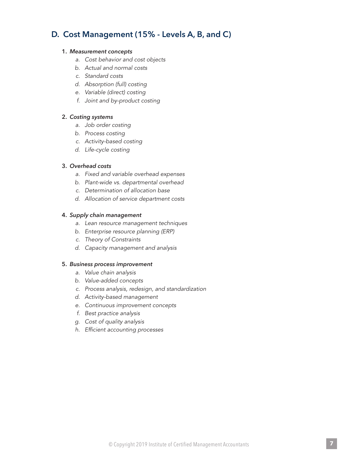## **D. Cost Management (15% - Levels A, B, and C)**

#### **1.** *Measurement concepts*

- *a. Cost behavior and cost objects*
- *b. Actual and normal costs*
- *c. Standard costs*
- *d. Absorption (full) costing*
- *e. Variable (direct) costing*
- *f. Joint and by-product costing*

#### **2.** *Costing systems*

- *a. Job order costing*
- *b. Process costing*
- *c. Activity-based costing*
- *d. Life-cycle costing*

#### **3.** *Overhead costs*

- *a. Fixed and variable overhead expenses*
- *b. Plant-wide vs. departmental overhead*
- *c. Determination of allocation base*
- *d. Allocation of service department costs*

#### **4.** *Supply chain management*

- *a. Lean resource management techniques*
- *b. Enterprise resource planning (ERP)*
- *c. Theory of Constraints*
- *d. Capacity management and analysis*

#### **5.** *Business process improvement*

- *a. Value chain analysis*
- *b. Value-added concepts*
- *c. Process analysis, redesign, and standardization*
- *d. Activity-based management*
- *e. Continuous improvement concepts*
- *f. Best practice analysis*
- *g. Cost of quality analysis*
- *h. Efficient accounting processes*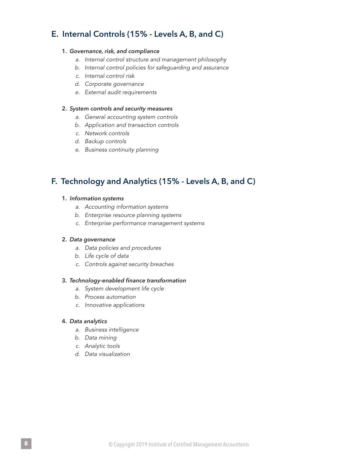## **E. Internal Controls (15% - Levels A, B, and C)**

#### **1.** *Governance, risk, and compliance*

- *a. Internal control structure and management philosophy*
- *b. Internal control policies for safeguarding and assurance*
- *c. Internal control risk*
- *d. Corporate governance*
- *e. External audit requirements*

#### **2.** *System controls and security measures*

- *a. General accounting system controls*
- *b. Application and transaction controls*
- *c. Network controls*
- *d. Backup controls*
- *e. Business continuity planning*

## **F. Technology and Analytics (15% - Levels A, B, and C)**

#### **1.** *Information systems*

- *a. Accounting information systems*
- *b. Enterprise resource planning systems*
- *c. Enterprise performance management systems*

#### **2.** *Data governance*

- *a. Data policies and procedures*
- *b. Life cycle of data*
- *c. Controls against security breaches*

#### **3.** *Technology-enabled finance transformation*

- *a. System development life cycle*
- *b. Process automation*
- *c. Innovative applications*

#### **4.** *Data analytics*

- *a. Business intelligence*
- *b. Data mining*
- *c. Analytic tools*
- *d. Data visualization*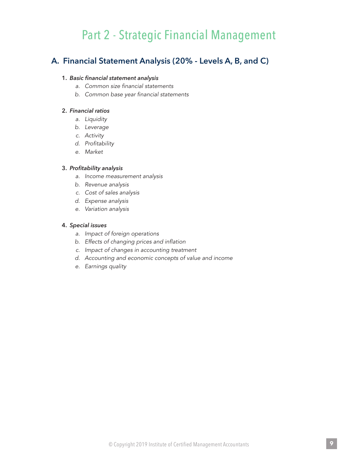## Part 2 - Strategic Financial Management

## **A. Financial Statement Analysis (20% - Levels A, B, and C)**

#### **1.** *Basic financial statement analysis*

- *a. Common size financial statements*
- *b. Common base year financial statements*

#### **2.** *Financial ratios*

- *a. Liquidity*
- *b. Leverage*
- *c. Activity*
- *d. Profitability*
- *e. Market*

#### **3.** *Profitability analysis*

- *a. Income measurement analysis*
- *b. Revenue analysis*
- *c. Cost of sales analysis*
- *d. Expense analysis*
- *e. Variation analysis*

#### **4.** *Special issues*

- *a. Impact of foreign operations*
- *b. Effects of changing prices and inflation*
- *c. Impact of changes in accounting treatment*
- *d. Accounting and economic concepts of value and income*
- *e. Earnings quality*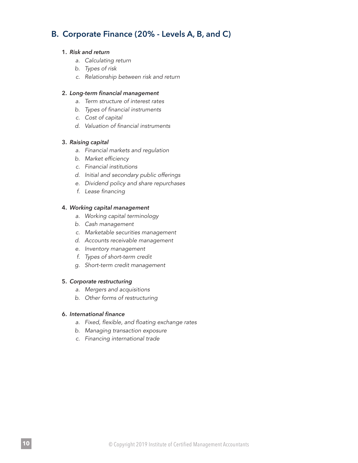## **B. Corporate Finance (20% - Levels A, B, and C)**

#### **1.** *Risk and return*

- *a. Calculating return*
- *b. Types of risk*
- *c. Relationship between risk and return*

#### **2.** *Long-term financial management*

- *a. Term structure of interest rates*
- *b. Types of financial instruments*
- *c. Cost of capital*
- *d. Valuation of financial instruments*

#### **3.** *Raising capital*

- *a. Financial markets and regulation*
- *b. Market efficiency*
- *c. Financial institutions*
- *d. Initial and secondary public offerings*
- *e. Dividend policy and share repurchases*
- *f. Lease financing*

#### **4.** *Working capital management*

- *a. Working capital terminology*
- *b. Cash management*
- *c. Marketable securities management*
- *d. Accounts receivable management*
- *e. Inventory management*
- *f. Types of short-term credit*
- *g. Short-term credit management*

#### **5.** *Corporate restructuring*

- *a. Mergers and acquisitions*
- *b. Other forms of restructuring*

#### **6.** *International finance*

- *a. Fixed, flexible, and floating exchange rates*
- *b. Managing transaction exposure*
- *c. Financing international trade*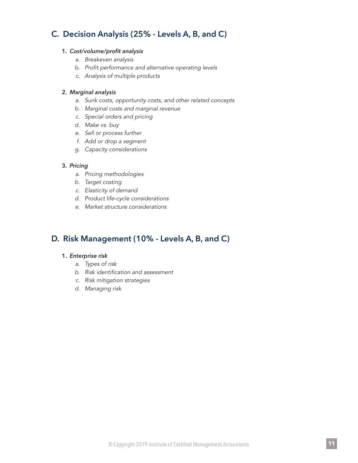## **C. Decision Analysis (25% - Levels A, B, and C)**

#### **1.** *Cost/volume/profit analysis*

- *a. Breakeven analysis*
- *b. Profit performance and alternative operating levels*
- *c. Analysis of multiple products*

#### **2.** *Marginal analysis*

- *a. Sunk costs, opportunity costs, and other related concepts*
- *b. Marginal costs and marginal revenue*
- *c. Special orders and pricing*
- *d. Make vs. buy*
- *e. Sell or process further*
- *f. Add or drop a segment*
- *g. Capacity considerations*

#### **3.** *Pricing*

- *a. Pricing methodologies*
- *b. Target costing*
- *c. Elasticity of demand*
- *d. Product life-cycle considerations*
- *e. Market structure considerations*

## **D. Risk Management (10% - Levels A, B, and C)**

#### **1.** *Enterprise risk*

- *a. Types of risk*
- *b. Risk identification and assessment*
- *c. Risk mitigation strategies*
- *d. Managing risk*